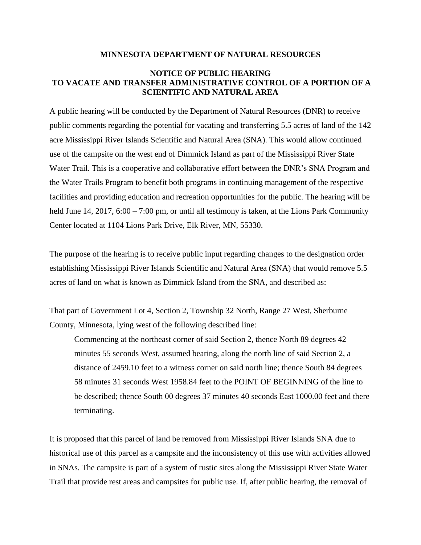## **MINNESOTA DEPARTMENT OF NATURAL RESOURCES**

## **NOTICE OF PUBLIC HEARING TO VACATE AND TRANSFER ADMINISTRATIVE CONTROL OF A PORTION OF A SCIENTIFIC AND NATURAL AREA**

A public hearing will be conducted by the Department of Natural Resources (DNR) to receive public comments regarding the potential for vacating and transferring 5.5 acres of land of the 142 acre Mississippi River Islands Scientific and Natural Area (SNA). This would allow continued use of the campsite on the west end of Dimmick Island as part of the Mississippi River State Water Trail. This is a cooperative and collaborative effort between the DNR's SNA Program and the Water Trails Program to benefit both programs in continuing management of the respective facilities and providing education and recreation opportunities for the public. The hearing will be held June 14, 2017, 6:00 – 7:00 pm, or until all testimony is taken, at the Lions Park Community Center located at 1104 Lions Park Drive, Elk River, MN, 55330.

The purpose of the hearing is to receive public input regarding changes to the designation order establishing Mississippi River Islands Scientific and Natural Area (SNA) that would remove 5.5 acres of land on what is known as Dimmick Island from the SNA, and described as:

That part of Government Lot 4, Section 2, Township 32 North, Range 27 West, Sherburne County, Minnesota, lying west of the following described line:

Commencing at the northeast corner of said Section 2, thence North 89 degrees 42 minutes 55 seconds West, assumed bearing, along the north line of said Section 2, a distance of 2459.10 feet to a witness corner on said north line; thence South 84 degrees 58 minutes 31 seconds West 1958.84 feet to the POINT OF BEGINNING of the line to be described; thence South 00 degrees 37 minutes 40 seconds East 1000.00 feet and there terminating.

It is proposed that this parcel of land be removed from Mississippi River Islands SNA due to historical use of this parcel as a campsite and the inconsistency of this use with activities allowed in SNAs. The campsite is part of a system of rustic sites along the Mississippi River State Water Trail that provide rest areas and campsites for public use. If, after public hearing, the removal of